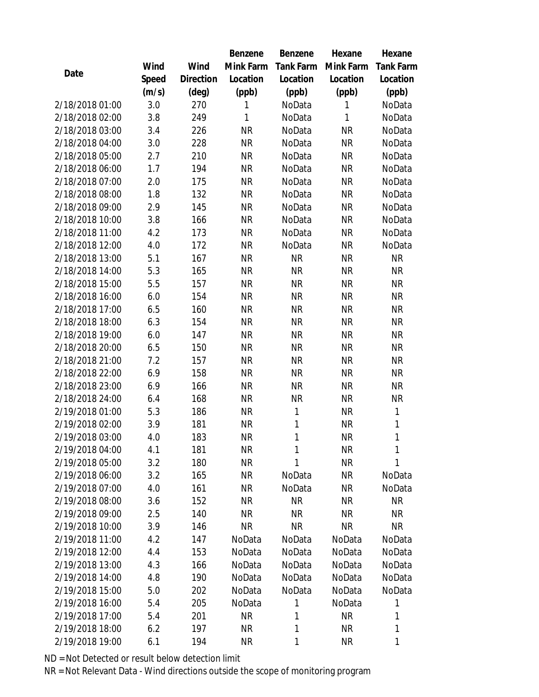|                 |       |           | Benzene   | Benzene   | Hexane       | Hexane           |
|-----------------|-------|-----------|-----------|-----------|--------------|------------------|
|                 | Wind  | Wind      | Mink Farm | Tank Farm | Mink Farm    | <b>Tank Farm</b> |
| Date            | Speed | Direction | Location  | Location  | Location     | Location         |
|                 | (m/s) | (deg)     | (ppb)     | (ppb)     | (ppb)        | (ppb)            |
| 2/18/2018 01:00 | 3.0   | 270       | 1         | NoData    | $\mathbf{1}$ | NoData           |
| 2/18/2018 02:00 | 3.8   | 249       | 1         | NoData    | $\mathbf{1}$ | NoData           |
| 2/18/2018 03:00 | 3.4   | 226       | <b>NR</b> | NoData    | <b>NR</b>    | NoData           |
| 2/18/2018 04:00 | 3.0   | 228       | <b>NR</b> | NoData    | NR           | NoData           |
| 2/18/2018 05:00 | 2.7   | 210       | <b>NR</b> | NoData    | <b>NR</b>    | NoData           |
| 2/18/2018 06:00 | 1.7   | 194       | <b>NR</b> | NoData    | <b>NR</b>    | NoData           |
| 2/18/2018 07:00 | 2.0   | 175       | <b>NR</b> | NoData    | <b>NR</b>    | NoData           |
| 2/18/2018 08:00 | 1.8   | 132       | <b>NR</b> | NoData    | <b>NR</b>    | NoData           |
| 2/18/2018 09:00 | 2.9   | 145       | <b>NR</b> | NoData    | NR           | NoData           |
| 2/18/2018 10:00 | 3.8   | 166       | <b>NR</b> | NoData    | <b>NR</b>    | NoData           |
| 2/18/2018 11:00 | 4.2   | 173       | <b>NR</b> | NoData    | NR           | NoData           |
| 2/18/2018 12:00 | 4.0   | 172       | <b>NR</b> | NoData    | <b>NR</b>    | NoData           |
| 2/18/2018 13:00 | 5.1   | 167       | <b>NR</b> | <b>NR</b> | <b>NR</b>    | <b>NR</b>        |
| 2/18/2018 14:00 | 5.3   | 165       | <b>NR</b> | <b>NR</b> | <b>NR</b>    | <b>NR</b>        |
| 2/18/2018 15:00 | 5.5   | 157       | <b>NR</b> | <b>NR</b> | <b>NR</b>    | <b>NR</b>        |
| 2/18/2018 16:00 | 6.0   | 154       | <b>NR</b> | <b>NR</b> | <b>NR</b>    | <b>NR</b>        |
| 2/18/2018 17:00 | 6.5   | 160       | <b>NR</b> | <b>NR</b> | <b>NR</b>    | <b>NR</b>        |
| 2/18/2018 18:00 | 6.3   | 154       | <b>NR</b> | <b>NR</b> | <b>NR</b>    | <b>NR</b>        |
| 2/18/2018 19:00 | 6.0   | 147       | <b>NR</b> | <b>NR</b> | <b>NR</b>    | <b>NR</b>        |
| 2/18/2018 20:00 | 6.5   | 150       | <b>NR</b> | <b>NR</b> | <b>NR</b>    | <b>NR</b>        |
| 2/18/2018 21:00 | 7.2   | 157       | <b>NR</b> | <b>NR</b> | <b>NR</b>    | <b>NR</b>        |
| 2/18/2018 22:00 | 6.9   | 158       | <b>NR</b> | <b>NR</b> | <b>NR</b>    | <b>NR</b>        |
| 2/18/2018 23:00 | 6.9   | 166       | <b>NR</b> | <b>NR</b> | <b>NR</b>    | <b>NR</b>        |
| 2/18/2018 24:00 | 6.4   | 168       | <b>NR</b> | <b>NR</b> | <b>NR</b>    | <b>NR</b>        |
| 2/19/2018 01:00 | 5.3   | 186       | <b>NR</b> | 1         | <b>NR</b>    | $\mathbf{1}$     |
| 2/19/2018 02:00 | 3.9   | 181       | <b>NR</b> | 1         | <b>NR</b>    | 1                |
| 2/19/2018 03:00 | 4.0   | 183       | <b>NR</b> | 1         | <b>NR</b>    | 1                |
| 2/19/2018 04:00 | 4.1   | 181       | ΝR        | 1         | ΝR           | 1                |
| 2/19/2018 05:00 | 3.2   | 180       | <b>NR</b> | 1         | <b>NR</b>    | 1                |
| 2/19/2018 06:00 | 3.2   | 165       | <b>NR</b> | NoData    | NR           | NoData           |
| 2/19/2018 07:00 | 4.0   | 161       | <b>NR</b> | NoData    | NR           | NoData           |
| 2/19/2018 08:00 | 3.6   | 152       | <b>NR</b> | <b>NR</b> | NR           | <b>NR</b>        |
| 2/19/2018 09:00 | 2.5   | 140       | <b>NR</b> | <b>NR</b> | NR           | NR               |
| 2/19/2018 10:00 | 3.9   | 146       | <b>NR</b> | <b>NR</b> | NR           | NR               |
| 2/19/2018 11:00 | 4.2   | 147       | NoData    | NoData    | NoData       | NoData           |
| 2/19/2018 12:00 | 4.4   | 153       | NoData    | NoData    | NoData       | NoData           |
| 2/19/2018 13:00 | 4.3   | 166       | NoData    | NoData    | NoData       | NoData           |
| 2/19/2018 14:00 | 4.8   | 190       | NoData    | NoData    | NoData       | NoData           |
| 2/19/2018 15:00 | 5.0   | 202       | NoData    | NoData    | NoData       | NoData           |
| 2/19/2018 16:00 | 5.4   | 205       | NoData    | 1         | NoData       | 1                |
| 2/19/2018 17:00 | 5.4   | 201       | <b>NR</b> | 1         | <b>NR</b>    | 1                |
| 2/19/2018 18:00 | 6.2   | 197       | <b>NR</b> | 1         | NR           | 1                |
| 2/19/2018 19:00 | 6.1   | 194       | <b>NR</b> | 1         | NR           | 1                |

ND = Not Detected or result below detection limit

NR = Not Relevant Data - Wind directions outside the scope of monitoring program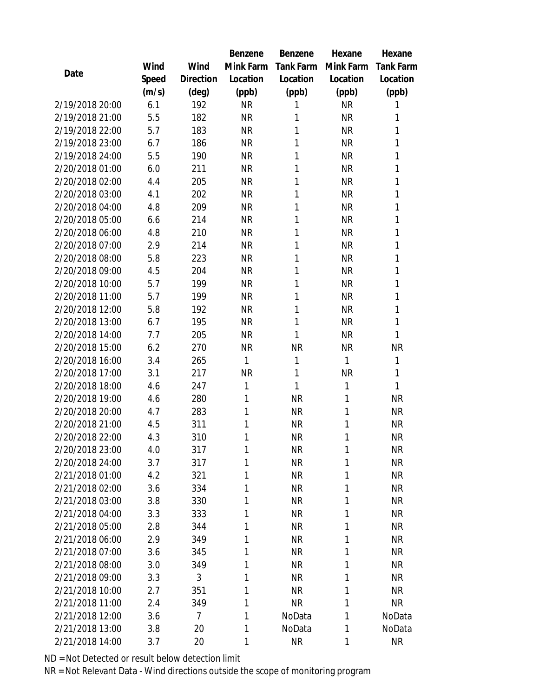|                 |       |           | Benzene   | Benzene   | Hexane       | Hexane           |
|-----------------|-------|-----------|-----------|-----------|--------------|------------------|
|                 | Wind  | Wind      | Mink Farm | Tank Farm | Mink Farm    | <b>Tank Farm</b> |
| Date            | Speed | Direction | Location  | Location  | Location     | Location         |
|                 | (m/s) | (deg)     | (ppb)     | (ppb)     | (ppb)        | (ppb)            |
| 2/19/2018 20:00 | 6.1   | 192       | <b>NR</b> | 1         | <b>NR</b>    | 1                |
| 2/19/2018 21:00 | 5.5   | 182       | <b>NR</b> | 1         | <b>NR</b>    | 1                |
| 2/19/2018 22:00 | 5.7   | 183       | <b>NR</b> | 1         | <b>NR</b>    | 1                |
| 2/19/2018 23:00 | 6.7   | 186       | <b>NR</b> | 1         | <b>NR</b>    | 1                |
| 2/19/2018 24:00 | 5.5   | 190       | <b>NR</b> | 1         | <b>NR</b>    | 1                |
| 2/20/2018 01:00 | 6.0   | 211       | <b>NR</b> | 1         | <b>NR</b>    | 1                |
| 2/20/2018 02:00 | 4.4   | 205       | <b>NR</b> | 1         | <b>NR</b>    | 1                |
| 2/20/2018 03:00 | 4.1   | 202       | <b>NR</b> | 1         | <b>NR</b>    | 1                |
| 2/20/2018 04:00 | 4.8   | 209       | <b>NR</b> | 1         | <b>NR</b>    | 1                |
| 2/20/2018 05:00 | 6.6   | 214       | <b>NR</b> | 1         | <b>NR</b>    | 1                |
| 2/20/2018 06:00 | 4.8   | 210       | <b>NR</b> | 1         | <b>NR</b>    | 1                |
| 2/20/2018 07:00 | 2.9   | 214       | <b>NR</b> | 1         | <b>NR</b>    | 1                |
| 2/20/2018 08:00 | 5.8   | 223       | <b>NR</b> | 1         | <b>NR</b>    | 1                |
| 2/20/2018 09:00 | 4.5   | 204       | <b>NR</b> | 1         | <b>NR</b>    | 1                |
| 2/20/2018 10:00 | 5.7   | 199       | <b>NR</b> | 1         | <b>NR</b>    | 1                |
| 2/20/2018 11:00 | 5.7   | 199       | <b>NR</b> | 1         | <b>NR</b>    | 1                |
| 2/20/2018 12:00 | 5.8   | 192       | <b>NR</b> | 1         | <b>NR</b>    | 1                |
| 2/20/2018 13:00 | 6.7   | 195       | <b>NR</b> | 1         | <b>NR</b>    | 1                |
| 2/20/2018 14:00 | 7.7   | 205       | <b>NR</b> | 1         | <b>NR</b>    | 1                |
| 2/20/2018 15:00 | 6.2   | 270       | <b>NR</b> | <b>NR</b> | <b>NR</b>    | <b>NR</b>        |
| 2/20/2018 16:00 | 3.4   | 265       | 1         | 1         | $\mathbf{1}$ | 1                |
| 2/20/2018 17:00 | 3.1   | 217       | <b>NR</b> | 1         | <b>NR</b>    | 1                |
| 2/20/2018 18:00 | 4.6   | 247       | 1         | 1         | $\mathbf{1}$ | 1                |
| 2/20/2018 19:00 | 4.6   | 280       | 1         | <b>NR</b> | 1            | <b>NR</b>        |
| 2/20/2018 20:00 | 4.7   | 283       | 1         | <b>NR</b> | 1            | <b>NR</b>        |
| 2/20/2018 21:00 | 4.5   | 311       | 1         | <b>NR</b> | 1            | <b>NR</b>        |
| 2/20/2018 22:00 | 4.3   | 310       | 1         | <b>NR</b> | 1            | <b>NR</b>        |
| 2/20/2018 23:00 | 4.0   | 317       | 1         | <b>NR</b> | 1            | <b>NR</b>        |
| 2/20/2018 24:00 | 3.7   | 317       | 1         | <b>NR</b> | 1            | <b>NR</b>        |
| 2/21/2018 01:00 | 4.2   | 321       | 1         | <b>NR</b> | 1            | NR               |
| 2/21/2018 02:00 | 3.6   | 334       | 1         | <b>NR</b> | 1            | <b>NR</b>        |
| 2/21/2018 03:00 | 3.8   | 330       | 1         | <b>NR</b> | 1            | NR               |
| 2/21/2018 04:00 | 3.3   | 333       | 1         | <b>NR</b> | 1            | <b>NR</b>        |
| 2/21/2018 05:00 | 2.8   | 344       | 1         | <b>NR</b> | 1            | <b>NR</b>        |
| 2/21/2018 06:00 | 2.9   | 349       | 1         | <b>NR</b> | 1            | <b>NR</b>        |
| 2/21/2018 07:00 | 3.6   | 345       | 1         | <b>NR</b> | 1            | <b>NR</b>        |
| 2/21/2018 08:00 | 3.0   | 349       | 1         | <b>NR</b> | 1            | NR               |
| 2/21/2018 09:00 | 3.3   | 3         | 1         | <b>NR</b> | 1            | <b>NR</b>        |
| 2/21/2018 10:00 | 2.7   | 351       | 1         | <b>NR</b> | 1            | <b>NR</b>        |
| 2/21/2018 11:00 | 2.4   | 349       | 1         | <b>NR</b> | 1            | <b>NR</b>        |
| 2/21/2018 12:00 | 3.6   | 7         | 1         | NoData    | 1            | NoData           |
| 2/21/2018 13:00 | 3.8   | 20        | 1         | NoData    | 1            | NoData           |
| 2/21/2018 14:00 | 3.7   | 20        | 1         | <b>NR</b> | 1            | <b>NR</b>        |

ND = Not Detected or result below detection limit

NR = Not Relevant Data - Wind directions outside the scope of monitoring program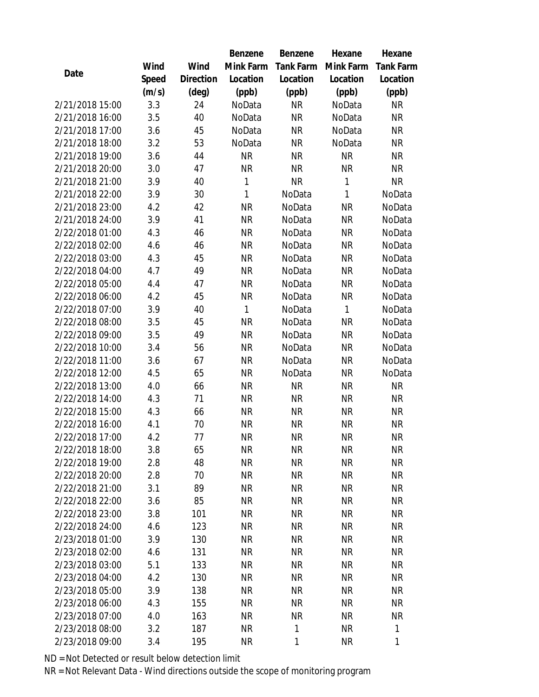|                 |       |                | Benzene   | Benzene          | Hexane    | Hexane           |
|-----------------|-------|----------------|-----------|------------------|-----------|------------------|
|                 | Wind  | Wind           | Mink Farm | <b>Tank Farm</b> | Mink Farm | <b>Tank Farm</b> |
| Date            | Speed | Direction      | Location  | Location         | Location  | Location         |
|                 | (m/s) | $(\text{deg})$ | (ppb)     | (ppb)            | (ppb)     | (ppb)            |
| 2/21/2018 15:00 | 3.3   | 24             | NoData    | <b>NR</b>        | NoData    | <b>NR</b>        |
| 2/21/2018 16:00 | 3.5   | 40             | NoData    | <b>NR</b>        | NoData    | <b>NR</b>        |
| 2/21/2018 17:00 | 3.6   | 45             | NoData    | <b>NR</b>        | NoData    | NR               |
| 2/21/2018 18:00 | 3.2   | 53             | NoData    | <b>NR</b>        | NoData    | <b>NR</b>        |
| 2/21/2018 19:00 | 3.6   | 44             | <b>NR</b> | <b>NR</b>        | <b>NR</b> | <b>NR</b>        |
| 2/21/2018 20:00 | 3.0   | 47             | <b>NR</b> | <b>NR</b>        | <b>NR</b> | <b>NR</b>        |
| 2/21/2018 21:00 | 3.9   | 40             | 1         | <b>NR</b>        | 1         | <b>NR</b>        |
| 2/21/2018 22:00 | 3.9   | 30             | 1         | NoData           | 1         | NoData           |
| 2/21/2018 23:00 | 4.2   | 42             | <b>NR</b> | NoData           | <b>NR</b> | NoData           |
| 2/21/2018 24:00 | 3.9   | 41             | <b>NR</b> | NoData           | <b>NR</b> | NoData           |
| 2/22/2018 01:00 | 4.3   | 46             | <b>NR</b> | NoData           | <b>NR</b> | NoData           |
| 2/22/2018 02:00 | 4.6   | 46             | <b>NR</b> | NoData           | <b>NR</b> | NoData           |
| 2/22/2018 03:00 | 4.3   | 45             | <b>NR</b> | NoData           | <b>NR</b> | NoData           |
| 2/22/2018 04:00 | 4.7   | 49             | <b>NR</b> | NoData           | <b>NR</b> | NoData           |
| 2/22/2018 05:00 | 4.4   | 47             | <b>NR</b> | NoData           | <b>NR</b> | NoData           |
| 2/22/2018 06:00 | 4.2   | 45             | <b>NR</b> | NoData           | <b>NR</b> | NoData           |
| 2/22/2018 07:00 | 3.9   | 40             | 1         | NoData           | 1         | NoData           |
| 2/22/2018 08:00 | 3.5   | 45             | <b>NR</b> | NoData           | <b>NR</b> | NoData           |
| 2/22/2018 09:00 | 3.5   | 49             | <b>NR</b> | NoData           | <b>NR</b> | NoData           |
| 2/22/2018 10:00 | 3.4   | 56             | <b>NR</b> | NoData           | <b>NR</b> | NoData           |
| 2/22/2018 11:00 | 3.6   | 67             | <b>NR</b> | NoData           | <b>NR</b> | NoData           |
| 2/22/2018 12:00 | 4.5   | 65             | <b>NR</b> | NoData           | <b>NR</b> | NoData           |
| 2/22/2018 13:00 | 4.0   | 66             | <b>NR</b> | <b>NR</b>        | <b>NR</b> | <b>NR</b>        |
| 2/22/2018 14:00 | 4.3   | 71             | <b>NR</b> | <b>NR</b>        | <b>NR</b> | <b>NR</b>        |
| 2/22/2018 15:00 | 4.3   | 66             | <b>NR</b> | <b>NR</b>        | <b>NR</b> | NR               |
| 2/22/2018 16:00 | 4.1   | 70             | <b>NR</b> | <b>NR</b>        | <b>NR</b> | <b>NR</b>        |
| 2/22/2018 17:00 | 4.2   | 77             | <b>NR</b> | <b>NR</b>        | <b>NR</b> | <b>NR</b>        |
| 2/22/2018 18:00 | 3.8   | 65             | ΝR        | <b>NR</b>        | <b>NR</b> | <b>NR</b>        |
| 2/22/2018 19:00 | 2.8   | 48             | <b>NR</b> | <b>NR</b>        | <b>NR</b> | <b>NR</b>        |
| 2/22/2018 20:00 | 2.8   | 70             | <b>NR</b> | <b>NR</b>        | <b>NR</b> | NR               |
| 2/22/2018 21:00 | 3.1   | 89             | <b>NR</b> | <b>NR</b>        | <b>NR</b> | <b>NR</b>        |
| 2/22/2018 22:00 | 3.6   | 85             | <b>NR</b> | <b>NR</b>        | <b>NR</b> | <b>NR</b>        |
| 2/22/2018 23:00 | 3.8   | 101            | <b>NR</b> | <b>NR</b>        | <b>NR</b> | NR               |
| 2/22/2018 24:00 | 4.6   | 123            | <b>NR</b> | <b>NR</b>        | <b>NR</b> | <b>NR</b>        |
| 2/23/2018 01:00 | 3.9   | 130            | <b>NR</b> | <b>NR</b>        | NR        | NR               |
| 2/23/2018 02:00 | 4.6   | 131            | <b>NR</b> | <b>NR</b>        | <b>NR</b> | <b>NR</b>        |
| 2/23/2018 03:00 | 5.1   | 133            | <b>NR</b> | <b>NR</b>        | <b>NR</b> | <b>NR</b>        |
| 2/23/2018 04:00 | 4.2   | 130            | <b>NR</b> | <b>NR</b>        | <b>NR</b> | NR               |
| 2/23/2018 05:00 | 3.9   | 138            | <b>NR</b> | <b>NR</b>        | <b>NR</b> | NR               |
| 2/23/2018 06:00 | 4.3   | 155            | <b>NR</b> | <b>NR</b>        | NR        | NR               |
| 2/23/2018 07:00 | 4.0   | 163            | <b>NR</b> | <b>NR</b>        | <b>NR</b> | NR               |
| 2/23/2018 08:00 | 3.2   | 187            | <b>NR</b> | $\mathbf{1}$     | <b>NR</b> | $\mathbf{1}$     |
| 2/23/2018 09:00 | 3.4   | 195            | <b>NR</b> | $\mathbf{1}$     | <b>NR</b> | 1                |

ND = Not Detected or result below detection limit

NR = Not Relevant Data - Wind directions outside the scope of monitoring program